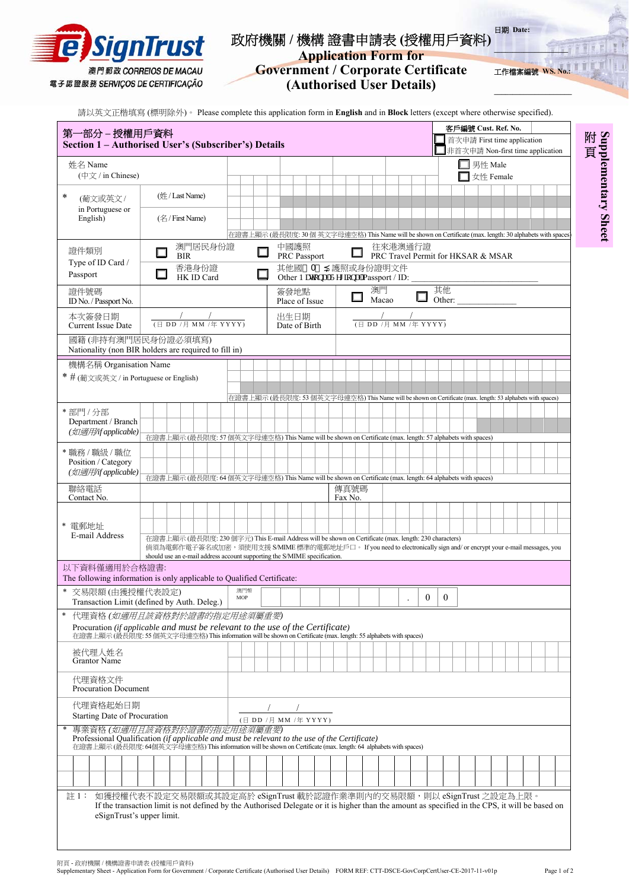

第一部分 **–** 授權用戶資料

## 政府機關 **/** 機構 證書申請表 **(**授權用戶資料**)**  日期 **Date:**

**Application Form for Government / Corporate Certificate (Authorised User Details)**

請以英文正楷填寫 (標明除外)。 Please complete this application form in **English** and in **Block** letters (except where otherwise specified).

**\_\_\_\_\_\_\_\_\_\_\_\_\_\_\_\_\_\_\_\_** 

客戶編號 **Cust. Ref. No.** 首次申請 First time application

工作檔案編號 WS.

附 **Supplementary Sheet** 頁

| Section 1 - Authorised User's (Subscriber's) Details                                                                                                                                                                                           |                       |  |                                                                                                                                                                                                 |  |  |  |                       |  |  |  |                        |                                                   |  |  |  |  |                                                                                                                                                           |  |             |  |  |          |          |    |        | 百灭甲請 First time application<br>非首次申請 Non-first time application                                           |           |  |  |  |  |  |  |
|------------------------------------------------------------------------------------------------------------------------------------------------------------------------------------------------------------------------------------------------|-----------------------|--|-------------------------------------------------------------------------------------------------------------------------------------------------------------------------------------------------|--|--|--|-----------------------|--|--|--|------------------------|---------------------------------------------------|--|--|--|--|-----------------------------------------------------------------------------------------------------------------------------------------------------------|--|-------------|--|--|----------|----------|----|--------|-----------------------------------------------------------------------------------------------------------|-----------|--|--|--|--|--|--|
| 姓名 Name<br>$(\nexists \forall x \mid \text{in Chinese})$                                                                                                                                                                                       |                       |  |                                                                                                                                                                                                 |  |  |  |                       |  |  |  |                        |                                                   |  |  |  |  |                                                                                                                                                           |  |             |  |  |          |          |    |        | $\Box$ 男性 Male                                                                                            | 女性 Female |  |  |  |  |  |  |
| *<br>(葡文或英文/                                                                                                                                                                                                                                   |                       |  | (姓/Last Name)                                                                                                                                                                                   |  |  |  |                       |  |  |  |                        |                                                   |  |  |  |  |                                                                                                                                                           |  |             |  |  |          |          |    |        |                                                                                                           |           |  |  |  |  |  |  |
| in Portuguese or<br>English)                                                                                                                                                                                                                   |                       |  | $(\&$ / First Name)                                                                                                                                                                             |  |  |  |                       |  |  |  |                        |                                                   |  |  |  |  |                                                                                                                                                           |  |             |  |  |          |          |    |        |                                                                                                           |           |  |  |  |  |  |  |
| 證件類別                                                                                                                                                                                                                                           | 澳門居民身份證<br><b>BIR</b> |  |                                                                                                                                                                                                 |  |  |  |                       |  |  |  |                        | 中國護照<br><b>PRC</b> Passport                       |  |  |  |  | 在證書上顯示 (最長限度: 30個 英文字母連空格) This Name will be shown on Certificate (max. length: 30 alphabets with spaces<br>往來港澳通行證<br>PRC Travel Permit for HKSAR & MSAR |  |             |  |  |          |          |    |        |                                                                                                           |           |  |  |  |  |  |  |
| Type of ID Card /<br>Passport                                                                                                                                                                                                                  | 香港身份證<br>HK ID Card   |  |                                                                                                                                                                                                 |  |  |  |                       |  |  |  |                        | 其他國 A<br>Other P cykpenIT gi kapenTPassport / ID: |  |  |  |  |                                                                                                                                                           |  | 護照或身份證明文件   |  |  |          |          |    |        |                                                                                                           |           |  |  |  |  |  |  |
| 證件號碼<br>ID No. / Passport No.                                                                                                                                                                                                                  |                       |  |                                                                                                                                                                                                 |  |  |  |                       |  |  |  | 簽發地點<br>Place of Issue |                                                   |  |  |  |  |                                                                                                                                                           |  | 澳門<br>Macao |  |  |          |          | 其他 | Other: |                                                                                                           |           |  |  |  |  |  |  |
| 本次簽發日期<br>(日 DD /月 MM /年 YYYY)<br><b>Current Issue Date</b>                                                                                                                                                                                    |                       |  |                                                                                                                                                                                                 |  |  |  | 出生日期<br>Date of Birth |  |  |  |                        |                                                   |  |  |  |  | (日 DD /月 MM /年 YYYY)                                                                                                                                      |  |             |  |  |          |          |    |        |                                                                                                           |           |  |  |  |  |  |  |
| 國籍(非持有澳門居民身份證必須填寫)<br>Nationality (non BIR holders are required to fill in)                                                                                                                                                                    |                       |  |                                                                                                                                                                                                 |  |  |  |                       |  |  |  |                        |                                                   |  |  |  |  |                                                                                                                                                           |  |             |  |  |          |          |    |        |                                                                                                           |           |  |  |  |  |  |  |
| 機構名稱 Organisation Name                                                                                                                                                                                                                         |                       |  |                                                                                                                                                                                                 |  |  |  |                       |  |  |  |                        |                                                   |  |  |  |  |                                                                                                                                                           |  |             |  |  |          |          |    |        |                                                                                                           |           |  |  |  |  |  |  |
| * # (葡文或英文 / in Portuguese or English)                                                                                                                                                                                                         |                       |  |                                                                                                                                                                                                 |  |  |  |                       |  |  |  |                        |                                                   |  |  |  |  |                                                                                                                                                           |  |             |  |  |          |          |    |        |                                                                                                           |           |  |  |  |  |  |  |
|                                                                                                                                                                                                                                                |                       |  |                                                                                                                                                                                                 |  |  |  |                       |  |  |  |                        |                                                   |  |  |  |  |                                                                                                                                                           |  |             |  |  |          |          |    |        | 在證書上顯示 (最長限度: 53 個英文字母連空格) This Name will be shown on Certificate (max. length: 53 alphabets with spaces) |           |  |  |  |  |  |  |
| *部門/分部                                                                                                                                                                                                                                         |                       |  |                                                                                                                                                                                                 |  |  |  |                       |  |  |  |                        |                                                   |  |  |  |  |                                                                                                                                                           |  |             |  |  |          |          |    |        |                                                                                                           |           |  |  |  |  |  |  |
| Department / Branch<br>(如適用/if applicable)                                                                                                                                                                                                     |                       |  |                                                                                                                                                                                                 |  |  |  |                       |  |  |  |                        |                                                   |  |  |  |  |                                                                                                                                                           |  |             |  |  |          |          |    |        |                                                                                                           |           |  |  |  |  |  |  |
|                                                                                                                                                                                                                                                |                       |  | 在證書上顯示 (最長限度: 57 個英文字母連空格) This Name will be shown on Certificate (max. length: 57 alphabets with spaces)                                                                                       |  |  |  |                       |  |  |  |                        |                                                   |  |  |  |  |                                                                                                                                                           |  |             |  |  |          |          |    |        |                                                                                                           |           |  |  |  |  |  |  |
| * 職務 / 職級 / 職位<br>Position / Category                                                                                                                                                                                                          |                       |  |                                                                                                                                                                                                 |  |  |  |                       |  |  |  |                        |                                                   |  |  |  |  |                                                                                                                                                           |  |             |  |  |          |          |    |        |                                                                                                           |           |  |  |  |  |  |  |
| (如適用/if applicable)                                                                                                                                                                                                                            |                       |  | 在證書上顯示 (最長限度: 64個英文字母連空格) This Name will be shown on Certificate (max. length: 64 alphabets with spaces)                                                                                        |  |  |  |                       |  |  |  |                        |                                                   |  |  |  |  |                                                                                                                                                           |  |             |  |  |          |          |    |        |                                                                                                           |           |  |  |  |  |  |  |
| 聯絡電話                                                                                                                                                                                                                                           |                       |  |                                                                                                                                                                                                 |  |  |  |                       |  |  |  |                        |                                                   |  |  |  |  | 傳真號碼                                                                                                                                                      |  |             |  |  |          |          |    |        |                                                                                                           |           |  |  |  |  |  |  |
| Contact No.                                                                                                                                                                                                                                    |                       |  |                                                                                                                                                                                                 |  |  |  |                       |  |  |  |                        |                                                   |  |  |  |  | Fax No.                                                                                                                                                   |  |             |  |  |          |          |    |        |                                                                                                           |           |  |  |  |  |  |  |
|                                                                                                                                                                                                                                                |                       |  |                                                                                                                                                                                                 |  |  |  |                       |  |  |  |                        |                                                   |  |  |  |  |                                                                                                                                                           |  |             |  |  |          |          |    |        |                                                                                                           |           |  |  |  |  |  |  |
| * 電郵地址<br>E-mail Address                                                                                                                                                                                                                       |                       |  | 在證書上顯示 (最長限度: 230 個字元) This E-mail Address will be shown on Certificate (max. length: 230 characters)                                                                                           |  |  |  |                       |  |  |  |                        |                                                   |  |  |  |  |                                                                                                                                                           |  |             |  |  |          |          |    |        |                                                                                                           |           |  |  |  |  |  |  |
|                                                                                                                                                                                                                                                |                       |  | 倘須為電郵作電子簽名或加密,須使用支援 S/MIME 標準的電郵地址戶口。 If you need to electronically sign and/ or encrypt your e-mail messages, you<br>should use an e-mail address account supporting the S/MIME specification. |  |  |  |                       |  |  |  |                        |                                                   |  |  |  |  |                                                                                                                                                           |  |             |  |  |          |          |    |        |                                                                                                           |           |  |  |  |  |  |  |
| 以下資料僅適用於合格證書:<br>The following information is only applicable to Qualified Certificate:                                                                                                                                                        |                       |  |                                                                                                                                                                                                 |  |  |  |                       |  |  |  |                        |                                                   |  |  |  |  |                                                                                                                                                           |  |             |  |  |          |          |    |        |                                                                                                           |           |  |  |  |  |  |  |
| $\ast$<br>交易限額(由獲授權代表設定)<br>Transaction Limit (defined by Auth. Deleg.)                                                                                                                                                                        |                       |  |                                                                                                                                                                                                 |  |  |  | 澳門幣<br>MOP            |  |  |  |                        |                                                   |  |  |  |  |                                                                                                                                                           |  |             |  |  | $\theta$ | $\theta$ |    |        |                                                                                                           |           |  |  |  |  |  |  |
| 代理資格(如適用且該資格對於證書的指定用途須屬重要)                                                                                                                                                                                                                     |                       |  |                                                                                                                                                                                                 |  |  |  |                       |  |  |  |                        |                                                   |  |  |  |  |                                                                                                                                                           |  |             |  |  |          |          |    |        |                                                                                                           |           |  |  |  |  |  |  |
| Procuration (if applicable and must be relevant to the use of the Certificate)<br>在證書上顯示 (最長限度: 55 個英文字母連空格) This information will be shown on Certificate (max. length: 55 alphabets with spaces)                                             |                       |  |                                                                                                                                                                                                 |  |  |  |                       |  |  |  |                        |                                                   |  |  |  |  |                                                                                                                                                           |  |             |  |  |          |          |    |        |                                                                                                           |           |  |  |  |  |  |  |
| 被代理人姓名<br><b>Grantor Name</b>                                                                                                                                                                                                                  |                       |  |                                                                                                                                                                                                 |  |  |  |                       |  |  |  |                        |                                                   |  |  |  |  |                                                                                                                                                           |  |             |  |  |          |          |    |        |                                                                                                           |           |  |  |  |  |  |  |
| 代理資格文件<br><b>Procuration Document</b>                                                                                                                                                                                                          |                       |  |                                                                                                                                                                                                 |  |  |  |                       |  |  |  |                        |                                                   |  |  |  |  |                                                                                                                                                           |  |             |  |  |          |          |    |        |                                                                                                           |           |  |  |  |  |  |  |
| 代理資格起始日期                                                                                                                                                                                                                                       |                       |  |                                                                                                                                                                                                 |  |  |  |                       |  |  |  |                        |                                                   |  |  |  |  |                                                                                                                                                           |  |             |  |  |          |          |    |        |                                                                                                           |           |  |  |  |  |  |  |
| Starting Date of Procuration                                                                                                                                                                                                                   |                       |  |                                                                                                                                                                                                 |  |  |  |                       |  |  |  | (日 DD /月 MM /年 YYYY)   |                                                   |  |  |  |  |                                                                                                                                                           |  |             |  |  |          |          |    |        |                                                                                                           |           |  |  |  |  |  |  |
| 專業資格(如適用且該資格對於證書的指定用途須屬重要)<br>Professional Qualification (if applicable and must be relevant to the use of the Certificate)<br>在證書上顯示 (最長限度: 64個英文字母連空格) This information will be shown on Certificate (max. length: 64 alphabets with spaces) |                       |  |                                                                                                                                                                                                 |  |  |  |                       |  |  |  |                        |                                                   |  |  |  |  |                                                                                                                                                           |  |             |  |  |          |          |    |        |                                                                                                           |           |  |  |  |  |  |  |
|                                                                                                                                                                                                                                                |                       |  |                                                                                                                                                                                                 |  |  |  |                       |  |  |  |                        |                                                   |  |  |  |  |                                                                                                                                                           |  |             |  |  |          |          |    |        |                                                                                                           |           |  |  |  |  |  |  |

註 1: 如獲授權代表不設定交易限額或其設定高於 eSignTrust 載於認證作業準則内的交易限額,則以 eSignTrust 之設定為上限 If the transaction limit is not defined by the Authorised Delegate or it is higher than the amount as specified in the CPS, it will be based on eSignTrust's upper limit.

附頁 - 政府機關 / 機構證書申請表 (授權用戶資料)